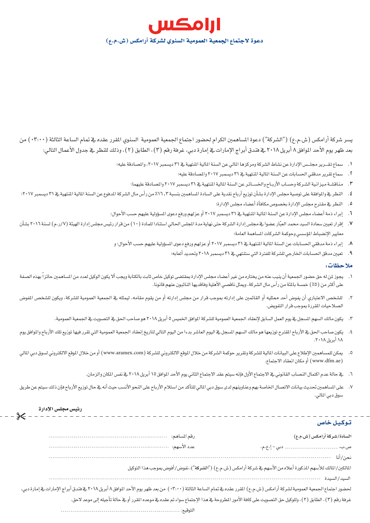

يسر شركة أرامكس (ش.م.ع) ("الشركة") دعوة المساهمين الكرام لحضور اجتماع الجمعية العمومية السنوي المقرر عقده في تمام الساعة الثالثة (٣:٠٠٠) من بعد ظهر يوم الأحد الموافق ٨ أبريل ٢٠١٨ في فندق أبراج الإمارات في إمارة دبي، غرفة رقم (٣) ، الطابق (٢) ، وذلك للنظر في جدول الأعمال التالي:

- ١. سماع تقــرير مجلــس الإدارة عن نشاط الشركة ومركزها المالي عن السنة المالية المنهية في ٣١ ديسمبر ٢٠١٧، والمصادقة عليه؛
	- ٢. سماع تقرير مدققى الحسابات عن السنة المالية المنتهية في ٣١ ديسمبر ٢٠١٧ والمصادقة عليه؛
	- ٣. مناقشة ميزانية الشركة وحساب الأرباح والخسائر عن السنة المالية المنهية في ٣١ ديسمبر ٢٠١٧ والمصادقة عليهما؛
- ٤. النظر يخ والموافقة على توصية مجلس الإدارة بشأن توزيع أرباح نقدية على السادة الساهمين بنسبة ٢٠١٣، من رأس مال الشركة المدفوع عن السنة المالية المنهية يخ ٣١ ديسمبر ٢٠١٧؛
	- ٥. النظر في مقترح مجلس الإدارة بخصوص مكافأة أعضاء مجلس الإدارة؛
	- ٦. [براء ذمة أعضاء مجلس الإدارة عن السنة المالية المنتهية في ٣١ ديسمبر ٢٠١٧ أو عزلهم ورفع دعوى السؤولية عليهم حسب الأحوال؛
- ٧. إقرار تعيين سعادة السيد محمد العبّار عضوا يخ مجلس إدارة الشركة حتى نهاية مدة الجلس الحالي استنادا للمادة (١٠) من قرار رئيس مجلس إدارة الهيئة (٧/ر.م) لسنة ٢٠١٦ بشأن معايير الإنضباط المؤسسي وحوكمة الشركات المساهمة العامة؛
	- ٨. [براء ذمة مدققي الحسابات عن السنة المالية المنتهية في ٣١ ديسمبر ٢٠١٧ أو عزلهم ورفع دعوى المسؤولية عليهم حسب الأحوال؛ و
		- ٩. تعيين مدفق الحسابات الخارجي للشركة للفترة التي ستنتهي في ٣١ ديسمبر ٢٠١٨ وتحديد أتعابه؛

## ملا حظات:

- ١. يجوز لمن له حق حضور الجمعية أن ينيب عنه من يختاره من غير أعضاء مجلس الإدارة بمقتضى توكيل خاص ثابت بالكتابة ويجب ألا يكون الوكيل لعدد من الساهمين حائزاً بهذه الصفة على أكثر من (٥٪) خمسة بالمَّة من رأس مال الشركة، ويمثل ناقصى الأهلية وفاقديها النائبون عنهم قانونا.
- ٢. للشخص الاعتباري أن يفوض أحد ممثليه أو القائمين على إدارته بموجب قرار من مجلس إدارته أو من يقوم مقامه، ليمثله فے الجمعية العمومية للشركة، ويكون للشخص الفوض الصلاحيات المقررة بموجب قرار التفويض.
	- ٣. يكون مالك السهم السجل في يوم العمل السابق لإنعقاد الجمعية العمومية للشركة الموافق الخميس ٥ أبريل ٢٠١٨ هوصاحب الحق في التصويت في الجمعية العمومية.
- ٤. يكون صاحب الحق فج الأرباح المقترح توزيعها هو مالك السهم السجل فج اليوم العالم التال بالتالى لتاريخ إنعقاد الجمعية العمومية التي تقرر فيها توزيع تلك الأرباح والموافق يوم ۱۸ أبريل ۲۰۱۸.
- ٥. يمكن للمساهمين الإطلاع على البيانات المالية للشركة وتقرير حوكمة الشركة (www.aramex.com) أو من خلال الموقع الالكتروني لسوق دبي المالي ( www.dfm.ae ) أو مكان انعقاد الاجتماع.
	- ٦. \_ في حالة عدم اكتمال النصاب القانوني في الاجتماع الأول فإنه سيتم عقد الاجتماع الثاني يوم الأحد الموافق ١٥ أبريل ٢٠١٨ في نفس المكان والزمان.
- ٧. على الساهمين تحديث بيانات الاتصال الخاصة بهم وعناوينهم لدى سوق دبي المالي للتأكد من استلام الأرباح على النحو الأنسب حيث أنه في حال توزيع الأرباح فإن ذلك سيتم عن طريق سوق دبي المالي.

|                                                                                                                | رئيس مجلس الإدارة                                                                                                                                                           |
|----------------------------------------------------------------------------------------------------------------|-----------------------------------------------------------------------------------------------------------------------------------------------------------------------------|
| توكيل خاص                                                                                                      |                                                                                                                                                                             |
| السادة/شركة أرامكس (ش.م.ع)                                                                                     | رقم المساهم:                                                                                                                                                                |
| دبي – إ.ع.م.<br>ص.ب.                                                                                           | عدد الأسهم:                                                                                                                                                                 |
| نحن/أنا                                                                                                        |                                                                                                                                                                             |
| المالكين/المالك للأسهم المذكورة أعلاه من الأسهم في شركة أرامكس (ش.م.ع) ("الشركة")، نفوض/أفوض بموجب هذا التوكيل |                                                                                                                                                                             |
| السيد/السيدة                                                                                                   |                                                                                                                                                                             |
|                                                                                                                | لحضور اجتماع الجمعية العمومية لشركة أرامكس (ش.م.ع) المترر عقده في تمام الساعة الثالثة (٣:٠٠) من بعد ظهر يوم الأحد الموافق ٨ أبريل ٢٠١٨ في قندق أبراج الإمارات في إمارة دبي، |
|                                                                                                                | غرفة رقم (٣)، الطابق (٢)، وللوكيل حق التصويت على كافة الأمور المطروحة في هذا الإجتماع سواء تم عقده في موعده المقرر أو في حالة تأجيله إلى موعد لاحق.                         |
|                                                                                                                | التوقيع: ـ                                                                                                                                                                  |